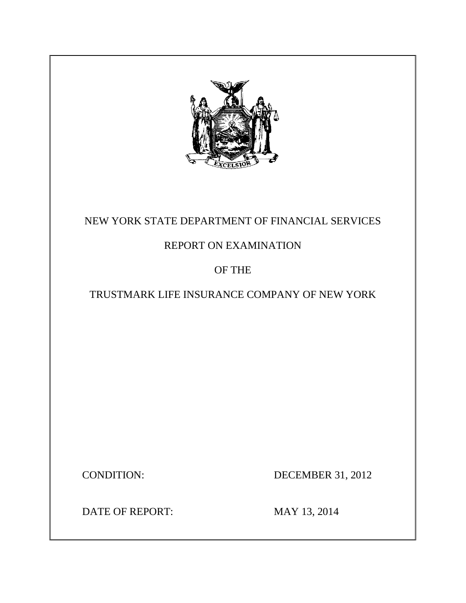

# NEW YORK STATE DEPARTMENT OF FINANCIAL SERVICES

# REPORT ON EXAMINATION

## OF THE

## TRUSTMARK LIFE INSURANCE COMPANY OF NEW YORK

CONDITION: DECEMBER 31, 2012

DATE OF REPORT: MAY 13, 2014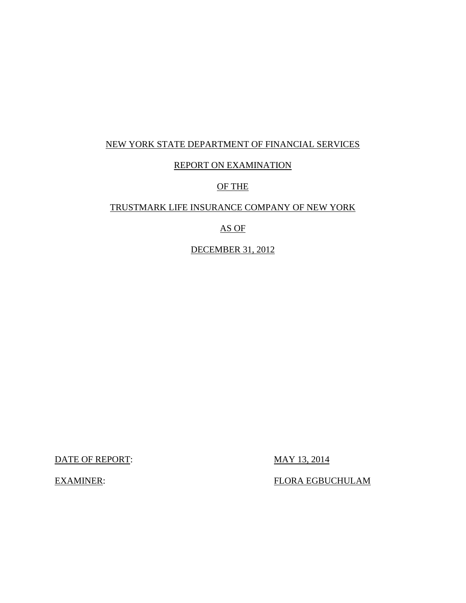## NEW YORK STATE DEPARTMENT OF FINANCIAL SERVICES

### REPORT ON EXAMINATION

### OF THE

### TRUSTMARK LIFE INSURANCE COMPANY OF NEW YORK

## AS OF

## DECEMBER 31, 2012

DATE OF REPORT: MAY 13, 2014

EXAMINER: FLORA EGBUCHULAM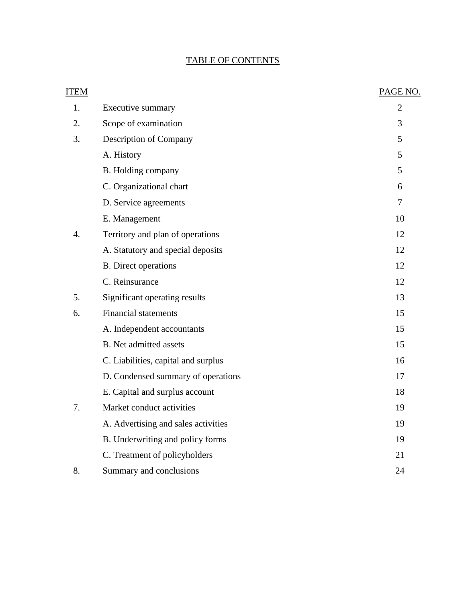## TABLE OF CONTENTS

| <b>ITEM</b>      |                                     | PAGE NO.       |
|------------------|-------------------------------------|----------------|
| 1.               | <b>Executive summary</b>            | $\overline{2}$ |
| 2.               | Scope of examination                | 3              |
| 3.               | Description of Company              | 5              |
|                  | A. History                          | 5              |
|                  | B. Holding company                  | 5              |
|                  | C. Organizational chart             | 6              |
|                  | D. Service agreements               | $\overline{7}$ |
|                  | E. Management                       | 10             |
| $\overline{4}$ . | Territory and plan of operations    | 12             |
|                  | A. Statutory and special deposits   | 12             |
|                  | <b>B.</b> Direct operations         | 12             |
|                  | C. Reinsurance                      | 12             |
| 5.               | Significant operating results       | 13             |
| 6.               | <b>Financial statements</b>         | 15             |
|                  | A. Independent accountants          | 15             |
|                  | <b>B.</b> Net admitted assets       | 15             |
|                  | C. Liabilities, capital and surplus | 16             |
|                  | D. Condensed summary of operations  | 17             |
|                  | E. Capital and surplus account      | 18             |
| 7.               | Market conduct activities           | 19             |
|                  | A. Advertising and sales activities | 19             |
|                  | B. Underwriting and policy forms    | 19             |
|                  | C. Treatment of policyholders       | 21             |
| 8.               | Summary and conclusions             | 24             |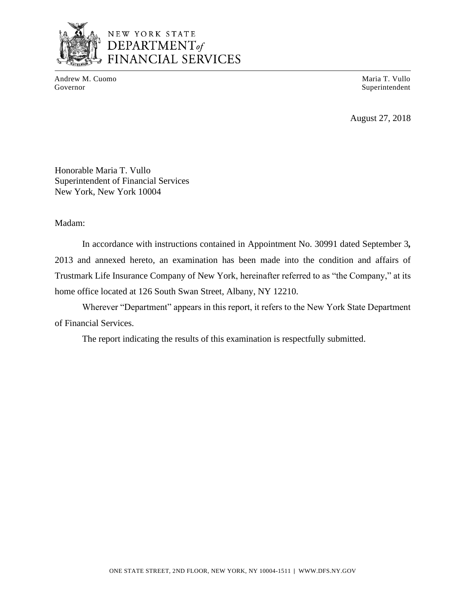

## NEW YORK STATE DEPARTMENT<sub>of</sub> FINANCIAL SERVICES

Andrew M. Cuomo Governor

Maria T. Vullo Superintendent

August 27, 2018

Honorable Maria T. Vullo Superintendent of Financial Services New York, New York 10004

Madam:

In accordance with instructions contained in Appointment No. 30991 dated September 3*,*  2013 and annexed hereto, an examination has been made into the condition and affairs of Trustmark Life Insurance Company of New York, hereinafter referred to as "the Company," at its home office located at 126 South Swan Street, Albany, NY 12210.

Wherever "Department" appears in this report, it refers to the New York State Department of Financial Services.

The report indicating the results of this examination is respectfully submitted.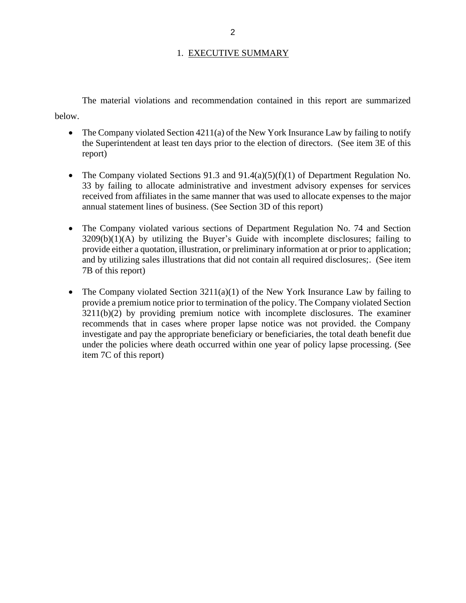### 1. EXECUTIVE SUMMARY

The material violations and recommendation contained in this report are summarized below.

- The Company violated Section 4211(a) of the New York Insurance Law by failing to notify the Superintendent at least ten days prior to the election of directors. (See item 3E of this report)
- The Company violated Sections 91.3 and 91.4(a)(5)(f)(1) of Department Regulation No. 33 by failing to allocate administrative and investment advisory expenses for services received from affiliates in the same manner that was used to allocate expenses to the major annual statement lines of business. (See Section 3D of this report)
- The Company violated various sections of Department Regulation No. 74 and Section  $3209(b)(1)(A)$  by utilizing the Buyer's Guide with incomplete disclosures; failing to provide either a quotation, illustration, or preliminary information at or prior to application; and by utilizing sales illustrations that did not contain all required disclosures;. (See item 7B of this report)
- The Company violated Section  $3211(a)(1)$  of the New York Insurance Law by failing to provide a premium notice prior to termination of the policy. The Company violated Section 3211(b)(2) by providing premium notice with incomplete disclosures. The examiner recommends that in cases where proper lapse notice was not provided. the Company investigate and pay the appropriate beneficiary or beneficiaries, the total death benefit due under the policies where death occurred within one year of policy lapse processing. (See item 7C of this report)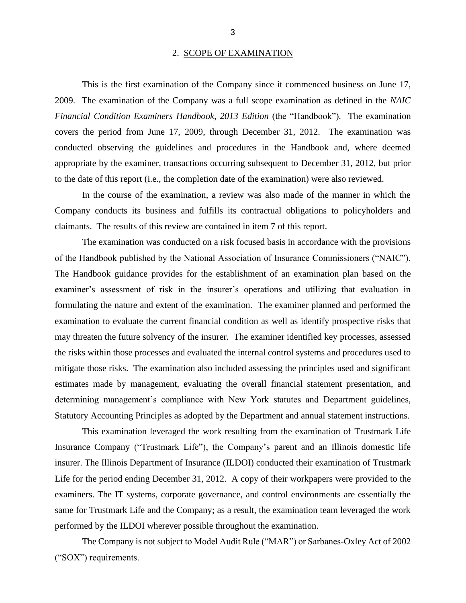#### 2. SCOPE OF EXAMINATION

This is the first examination of the Company since it commenced business on June 17, 2009. The examination of the Company was a full scope examination as defined in the *NAIC Financial Condition Examiners Handbook, 2013 Edition (the "Handbook").* The examination covers the period from June 17, 2009, through December 31, 2012. The examination was conducted observing the guidelines and procedures in the Handbook and, where deemed appropriate by the examiner, transactions occurring subsequent to December 31, 2012, but prior to the date of this report (i.e., the completion date of the examination) were also reviewed.

In the course of the examination, a review was also made of the manner in which the Company conducts its business and fulfills its contractual obligations to policyholders and claimants. The results of this review are contained in item 7 of this report.

The examination was conducted on a risk focused basis in accordance with the provisions of the Handbook published by the National Association of Insurance Commissioners ("NAIC"). The Handbook guidance provides for the establishment of an examination plan based on the examiner's assessment of risk in the insurer's operations and utilizing that evaluation in formulating the nature and extent of the examination. The examiner planned and performed the examination to evaluate the current financial condition as well as identify prospective risks that may threaten the future solvency of the insurer. The examiner identified key processes, assessed the risks within those processes and evaluated the internal control systems and procedures used to mitigate those risks. The examination also included assessing the principles used and significant estimates made by management, evaluating the overall financial statement presentation, and determining management's compliance with New York statutes and Department guidelines, Statutory Accounting Principles as adopted by the Department and annual statement instructions.

This examination leveraged the work resulting from the examination of Trustmark Life Insurance Company ("Trustmark Life"), the Company's parent and an Illinois domestic life insurer. The Illinois Department of Insurance (ILDOI) conducted their examination of Trustmark Life for the period ending December 31, 2012. A copy of their workpapers were provided to the examiners. The IT systems, corporate governance, and control environments are essentially the same for Trustmark Life and the Company; as a result, the examination team leveraged the work performed by the ILDOI wherever possible throughout the examination.

The Company is not subject to Model Audit Rule ("MAR") or Sarbanes-Oxley Act of 2002 ("SOX") requirements.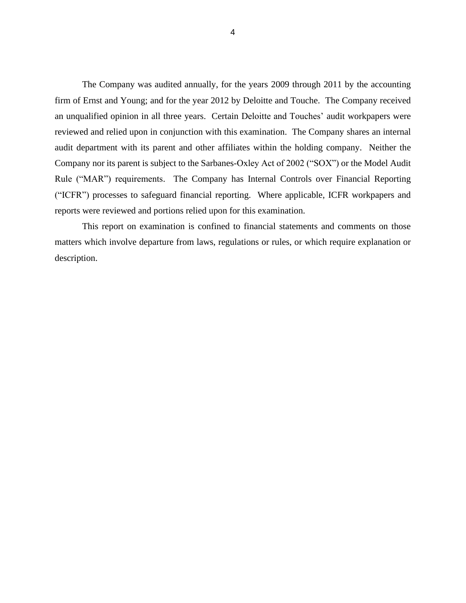The Company was audited annually, for the years 2009 through 2011 by the accounting firm of Ernst and Young; and for the year 2012 by Deloitte and Touche. The Company received an unqualified opinion in all three years. Certain Deloitte and Touches' audit workpapers were reviewed and relied upon in conjunction with this examination. The Company shares an internal audit department with its parent and other affiliates within the holding company. Neither the Company nor its parent is subject to the Sarbanes-Oxley Act of 2002 ("SOX") or the Model Audit Rule ("MAR") requirements. The Company has Internal Controls over Financial Reporting ("ICFR") processes to safeguard financial reporting. Where applicable, ICFR workpapers and reports were reviewed and portions relied upon for this examination.

This report on examination is confined to financial statements and comments on those matters which involve departure from laws, regulations or rules, or which require explanation or description.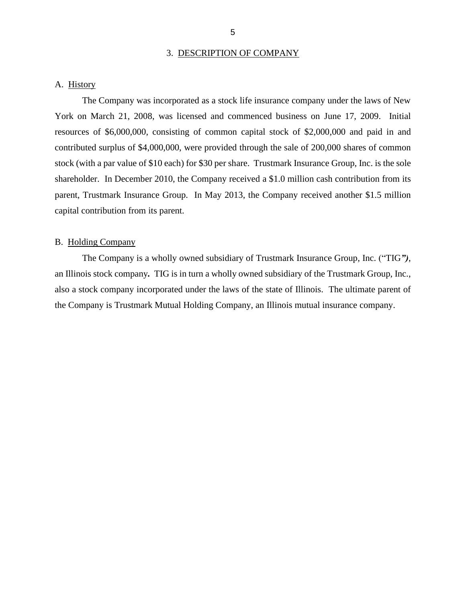#### 3. DESCRIPTION OF COMPANY

#### A. History

The Company was incorporated as a stock life insurance company under the laws of New York on March 21, 2008, was licensed and commenced business on June 17, 2009. Initial resources of \$6,000,000, consisting of common capital stock of \$2,000,000 and paid in and contributed surplus of \$4,000,000, were provided through the sale of 200,000 shares of common stock (with a par value of \$10 each) for \$30 per share. Trustmark Insurance Group, Inc. is the sole shareholder. In December 2010, the Company received a \$1.0 million cash contribution from its parent, Trustmark Insurance Group. In May 2013, the Company received another \$1.5 million capital contribution from its parent.

#### B. Holding Company

The Company is a wholly owned subsidiary of Trustmark Insurance Group, Inc. ("TIG*")*, an Illinois stock company*.* TIG is in turn a wholly owned subsidiary of the Trustmark Group, Inc., also a stock company incorporated under the laws of the state of Illinois. The ultimate parent of the Company is Trustmark Mutual Holding Company, an Illinois mutual insurance company.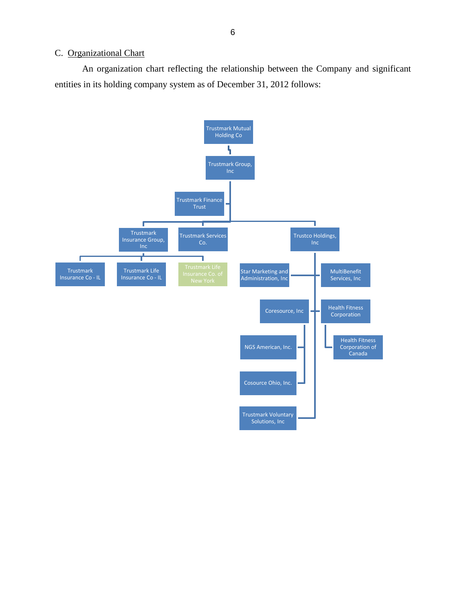### C. Organizational Chart

An organization chart reflecting the relationship between the Company and significant entities in its holding company system as of December 31, 2012 follows:

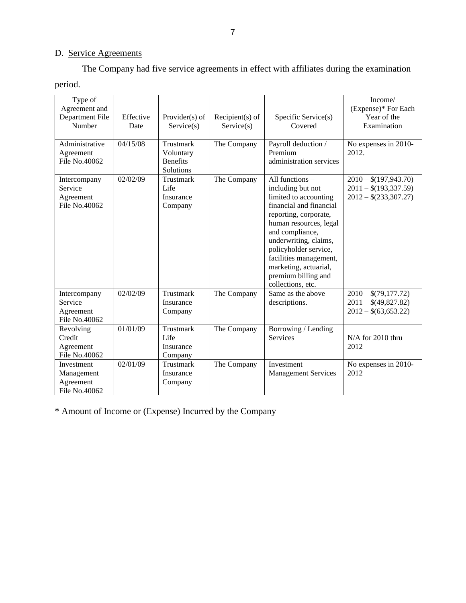## D. Service Agreements

The Company had five service agreements in effect with affiliates during the examination period.

| Type of<br>Agreement and<br>Department File<br>Number  | Effective<br>Date | Provider $(s)$ of<br>Service(s)                        | Recipient $(s)$ of<br>Service(s) | Specific Service(s)<br>Covered                                                                                                                                                                                                                                                                                  | Income/<br>(Expense)* For Each<br>Year of the<br>Examination                 |
|--------------------------------------------------------|-------------------|--------------------------------------------------------|----------------------------------|-----------------------------------------------------------------------------------------------------------------------------------------------------------------------------------------------------------------------------------------------------------------------------------------------------------------|------------------------------------------------------------------------------|
| Administrative<br>Agreement<br>File No.40062           | 04/15/08          | Trustmark<br>Voluntary<br><b>Benefits</b><br>Solutions | The Company                      | Payroll deduction /<br>Premium<br>administration services                                                                                                                                                                                                                                                       | No expenses in 2010-<br>2012.                                                |
| Intercompany<br>Service<br>Agreement<br>File No.40062  | 02/02/09          | Trustmark<br>Life<br>Insurance<br>Company              | The Company                      | All functions -<br>including but not<br>limited to accounting<br>financial and financial<br>reporting, corporate,<br>human resources, legal<br>and compliance,<br>underwriting, claims,<br>policyholder service,<br>facilities management,<br>marketing, actuarial,<br>premium billing and<br>collections, etc. | $2010 - $(197,943.70)$<br>$2011 - $(193, 337.59)$<br>$2012 - $(233, 307.27)$ |
| Intercompany<br>Service<br>Agreement<br>File No.40062  | 02/02/09          | Trustmark<br>Insurance<br>Company                      | The Company                      | Same as the above<br>descriptions.                                                                                                                                                                                                                                                                              | $2010 - $(79,177.72)$<br>$2011 - $(49,827.82)$<br>$2012 - $(63,653.22)$      |
| Revolving<br>Credit<br>Agreement<br>File No.40062      | 01/01/09          | Trustmark<br>Life<br>Insurance<br>Company              | The Company                      | Borrowing / Lending<br>Services                                                                                                                                                                                                                                                                                 | N/A for 2010 thru<br>2012                                                    |
| Investment<br>Management<br>Agreement<br>File No.40062 | 02/01/09          | Trustmark<br>Insurance<br>Company                      | The Company                      | Investment<br><b>Management Services</b>                                                                                                                                                                                                                                                                        | No expenses in 2010-<br>2012                                                 |

\* Amount of Income or (Expense) Incurred by the Company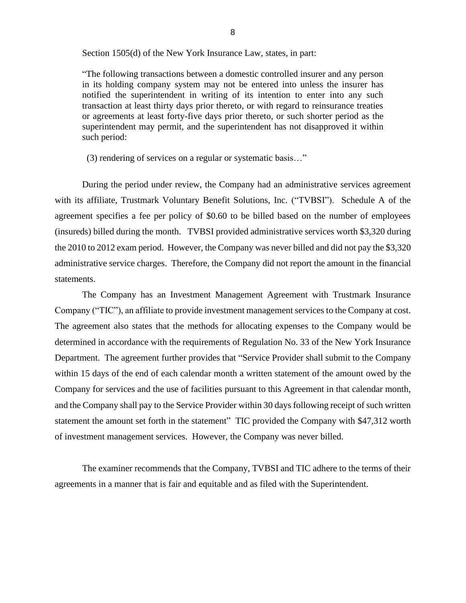Section 1505(d) of the New York Insurance Law, states, in part:

"The following transactions between a domestic controlled insurer and any person in its holding company system may not be entered into unless the insurer has notified the superintendent in writing of its intention to enter into any such transaction at least thirty days prior thereto, or with regard to reinsurance treaties or agreements at least forty-five days prior thereto, or such shorter period as the superintendent may permit, and the superintendent has not disapproved it within such period:

(3) rendering of services on a regular or systematic basis…"

During the period under review, the Company had an administrative services agreement with its affiliate, Trustmark Voluntary Benefit Solutions, Inc. ("TVBSI"). Schedule A of the agreement specifies a fee per policy of \$0.60 to be billed based on the number of employees (insureds) billed during the month. TVBSI provided administrative services worth \$3,320 during the 2010 to 2012 exam period. However, the Company was never billed and did not pay the \$3,320 administrative service charges. Therefore, the Company did not report the amount in the financial statements.

The Company has an Investment Management Agreement with Trustmark Insurance Company ("TIC"), an affiliate to provide investment management services to the Company at cost. The agreement also states that the methods for allocating expenses to the Company would be determined in accordance with the requirements of Regulation No. 33 of the New York Insurance Department. The agreement further provides that "Service Provider shall submit to the Company within 15 days of the end of each calendar month a written statement of the amount owed by the Company for services and the use of facilities pursuant to this Agreement in that calendar month, and the Company shall pay to the Service Provider within 30 days following receipt of such written statement the amount set forth in the statement" TIC provided the Company with \$47,312 worth of investment management services. However, the Company was never billed.

The examiner recommends that the Company, TVBSI and TIC adhere to the terms of their agreements in a manner that is fair and equitable and as filed with the Superintendent.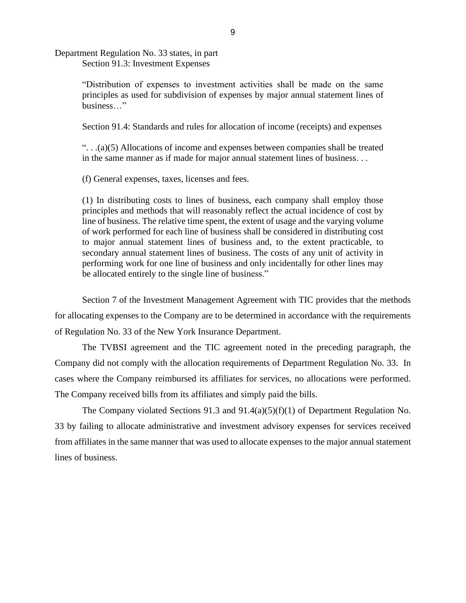Department Regulation No. 33 states, in part Section 91.3: Investment Expenses

> "Distribution of expenses to investment activities shall be made on the same principles as used for subdivision of expenses by major annual statement lines of business…"

> Section 91.4: Standards and rules for allocation of income (receipts) and expenses

". . .(a)(5) Allocations of income and expenses between companies shall be treated in the same manner as if made for major annual statement lines of business. . .

(f) General expenses, taxes, licenses and fees.

(1) In distributing costs to lines of business, each company shall employ those principles and methods that will reasonably reflect the actual incidence of cost by line of business. The relative time spent, the extent of usage and the varying volume of work performed for each line of business shall be considered in distributing cost to major annual statement lines of business and, to the extent practicable, to secondary annual statement lines of business. The costs of any unit of activity in performing work for one line of business and only incidentally for other lines may be allocated entirely to the single line of business."

Section 7 of the Investment Management Agreement with TIC provides that the methods for allocating expenses to the Company are to be determined in accordance with the requirements of Regulation No. 33 of the New York Insurance Department.

The TVBSI agreement and the TIC agreement noted in the preceding paragraph, the Company did not comply with the allocation requirements of Department Regulation No. 33. In cases where the Company reimbursed its affiliates for services, no allocations were performed. The Company received bills from its affiliates and simply paid the bills.

The Company violated Sections 91.3 and 91.4(a)(5)(f)(1) of Department Regulation No. 33 by failing to allocate administrative and investment advisory expenses for services received from affiliates in the same manner that was used to allocate expenses to the major annual statement lines of business.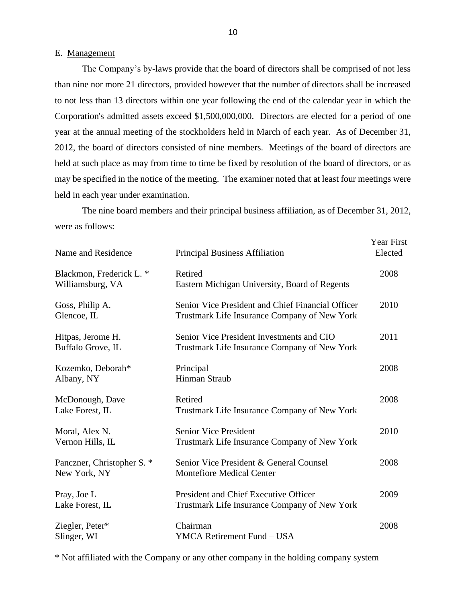#### E. Management

The Company's by-laws provide that the board of directors shall be comprised of not less than nine nor more 21 directors, provided however that the number of directors shall be increased to not less than 13 directors within one year following the end of the calendar year in which the Corporation's admitted assets exceed \$1,500,000,000. Directors are elected for a period of one year at the annual meeting of the stockholders held in March of each year. As of December 31, 2012, the board of directors consisted of nine members. Meetings of the board of directors are held at such place as may from time to time be fixed by resolution of the board of directors, or as may be specified in the notice of the meeting. The examiner noted that at least four meetings were held in each year under examination.

The nine board members and their principal business affiliation, as of December 31, 2012, were as follows:

| Name and Residence                           | <b>Principal Business Affiliation</b>                                                             | <b>Year First</b><br>Elected |
|----------------------------------------------|---------------------------------------------------------------------------------------------------|------------------------------|
| Blackmon, Frederick L. *<br>Williamsburg, VA | Retired<br>Eastern Michigan University, Board of Regents                                          | 2008                         |
| Goss, Philip A.<br>Glencoe, IL               | Senior Vice President and Chief Financial Officer<br>Trustmark Life Insurance Company of New York | 2010                         |
| Hitpas, Jerome H.<br>Buffalo Grove, IL       | Senior Vice President Investments and CIO<br>Trustmark Life Insurance Company of New York         | 2011                         |
| Kozemko, Deborah*<br>Albany, NY              | Principal<br><b>Hinman Straub</b>                                                                 | 2008                         |
| McDonough, Dave<br>Lake Forest, IL           | Retired<br>Trustmark Life Insurance Company of New York                                           | 2008                         |
| Moral, Alex N.<br>Vernon Hills, IL           | <b>Senior Vice President</b><br>Trustmark Life Insurance Company of New York                      | 2010                         |
| Panczner, Christopher S. *<br>New York, NY   | Senior Vice President & General Counsel<br><b>Montefiore Medical Center</b>                       | 2008                         |
| Pray, Joe L<br>Lake Forest, IL               | President and Chief Executive Officer<br>Trustmark Life Insurance Company of New York             | 2009                         |
| Ziegler, Peter*<br>Slinger, WI               | Chairman<br>YMCA Retirement Fund - USA                                                            | 2008                         |

\* Not affiliated with the Company or any other company in the holding company system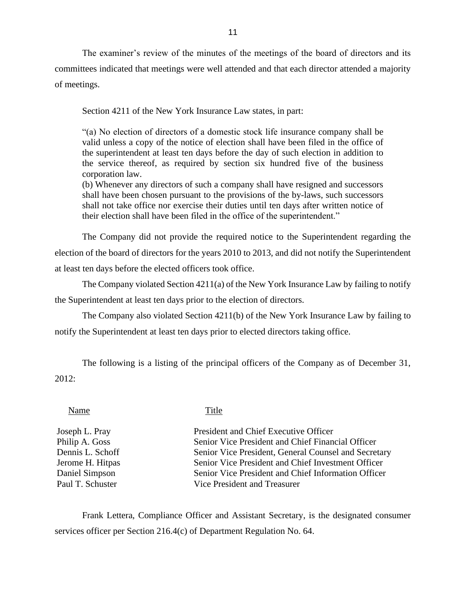The examiner's review of the minutes of the meetings of the board of directors and its committees indicated that meetings were well attended and that each director attended a majority of meetings.

Section 4211 of the New York Insurance Law states, in part:

"(a) No election of directors of a domestic stock life insurance company shall be valid unless a copy of the notice of election shall have been filed in the office of the superintendent at least ten days before the day of such election in addition to the service thereof, as required by section six hundred five of the business corporation law.

(b) Whenever any directors of such a company shall have resigned and successors shall have been chosen pursuant to the provisions of the by-laws, such successors shall not take office nor exercise their duties until ten days after written notice of their election shall have been filed in the office of the superintendent."

The Company did not provide the required notice to the Superintendent regarding the election of the board of directors for the years 2010 to 2013, and did not notify the Superintendent at least ten days before the elected officers took office.

The Company violated Section 4211(a) of the New York Insurance Law by failing to notify the Superintendent at least ten days prior to the election of directors.

The Company also violated Section 4211(b) of the New York Insurance Law by failing to notify the Superintendent at least ten days prior to elected directors taking office.

The following is a listing of the principal officers of the Company as of December 31, 2012:

#### Name Title

Joseph L. Pray President and Chief Executive Officer Philip A. Goss Senior Vice President and Chief Financial Officer Dennis L. Schoff Senior Vice President, General Counsel and Secretary Jerome H. Hitpas Senior Vice President and Chief Investment Officer Daniel Simpson Senior Vice President and Chief Information Officer Paul T. Schuster Vice President and Treasurer

Frank Lettera, Compliance Officer and Assistant Secretary, is the designated consumer services officer per Section 216.4(c) of Department Regulation No. 64.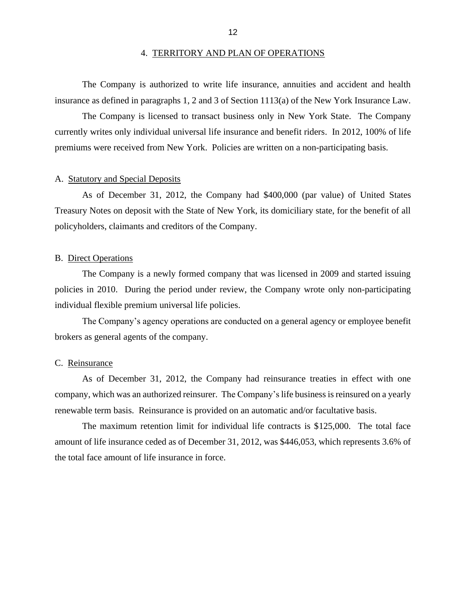#### 4. TERRITORY AND PLAN OF OPERATIONS

The Company is authorized to write life insurance, annuities and accident and health insurance as defined in paragraphs 1, 2 and 3 of Section 1113(a) of the New York Insurance Law.

The Company is licensed to transact business only in New York State. The Company currently writes only individual universal life insurance and benefit riders. In 2012, 100% of life premiums were received from New York. Policies are written on a non-participating basis.

#### A. Statutory and Special Deposits

As of December 31, 2012, the Company had \$400,000 (par value) of United States Treasury Notes on deposit with the State of New York, its domiciliary state, for the benefit of all policyholders, claimants and creditors of the Company.

#### B. Direct Operations

The Company is a newly formed company that was licensed in 2009 and started issuing policies in 2010. During the period under review, the Company wrote only non-participating individual flexible premium universal life policies.

The Company's agency operations are conducted on a general agency or employee benefit brokers as general agents of the company.

#### C. Reinsurance

As of December 31, 2012, the Company had reinsurance treaties in effect with one company, which was an authorized reinsurer. The Company's life business is reinsured on a yearly renewable term basis. Reinsurance is provided on an automatic and/or facultative basis.

The maximum retention limit for individual life contracts is \$125,000. The total face amount of life insurance ceded as of December 31, 2012, was \$446,053, which represents 3.6% of the total face amount of life insurance in force.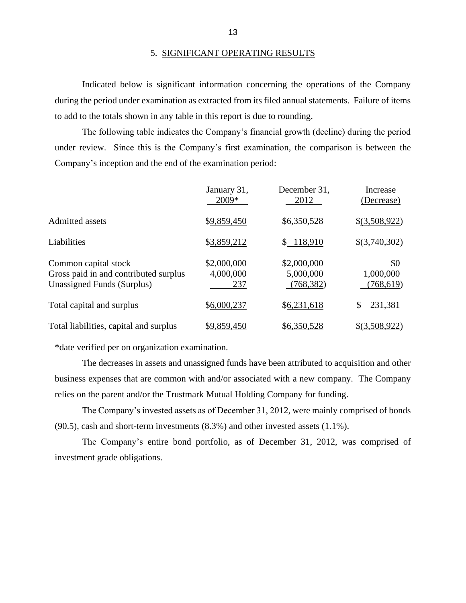Indicated below is significant information concerning the operations of the Company during the period under examination as extracted from its filed annual statements. Failure of items to add to the totals shown in any table in this report is due to rounding.

The following table indicates the Company's financial growth (decline) during the period under review. Since this is the Company's first examination, the comparison is between the Company's inception and the end of the examination period:

|                                                                                             | January 31,<br>2009*            | December 31,<br>2012                   | Increase<br>(Decrease)        |
|---------------------------------------------------------------------------------------------|---------------------------------|----------------------------------------|-------------------------------|
| <b>Admitted assets</b>                                                                      | \$9,859,450                     | \$6,350,528                            | \$(3,508,922)                 |
| Liabilities                                                                                 | \$3,859,212                     | \$118,910                              | \$(3,740,302)                 |
| Common capital stock<br>Gross paid in and contributed surplus<br>Unassigned Funds (Surplus) | \$2,000,000<br>4,000,000<br>237 | \$2,000,000<br>5,000,000<br>(768, 382) | \$0<br>1,000,000<br>(768,619) |
| Total capital and surplus                                                                   | \$6,000,237                     | \$6,231,618                            | 231,381<br>\$                 |
| Total liabilities, capital and surplus                                                      | \$9,859,450                     | \$6,350,528                            | \$(3,508,922)                 |

\*date verified per on organization examination.

The decreases in assets and unassigned funds have been attributed to acquisition and other business expenses that are common with and/or associated with a new company. The Company relies on the parent and/or the Trustmark Mutual Holding Company for funding.

The Company's invested assets as of December 31, 2012, were mainly comprised of bonds (90.5), cash and short-term investments (8.3%) and other invested assets (1.1%).

The Company's entire bond portfolio, as of December 31, 2012, was comprised of investment grade obligations.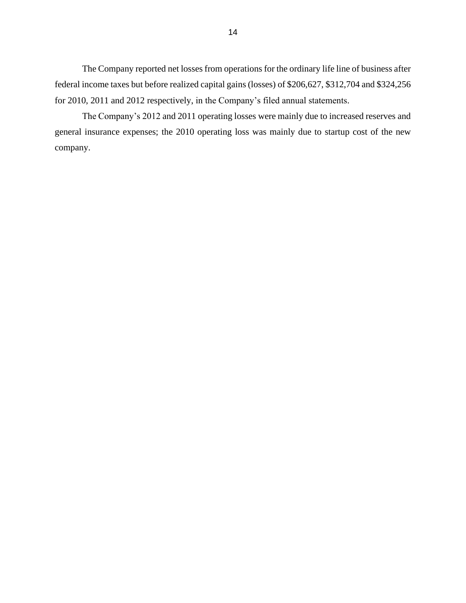The Company reported net losses from operations for the ordinary life line of business after federal income taxes but before realized capital gains (losses) of \$206,627, \$312,704 and \$324,256 for 2010, 2011 and 2012 respectively, in the Company's filed annual statements.

The Company's 2012 and 2011 operating losses were mainly due to increased reserves and general insurance expenses; the 2010 operating loss was mainly due to startup cost of the new company.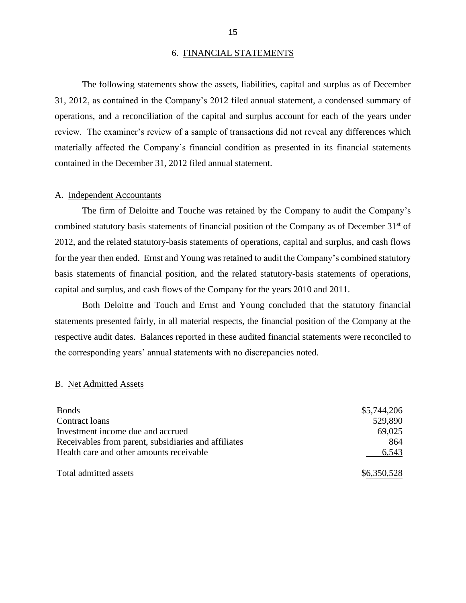#### 6. FINANCIAL STATEMENTS

The following statements show the assets, liabilities, capital and surplus as of December 31, 2012, as contained in the Company's 2012 filed annual statement, a condensed summary of operations, and a reconciliation of the capital and surplus account for each of the years under review. The examiner's review of a sample of transactions did not reveal any differences which materially affected the Company's financial condition as presented in its financial statements contained in the December 31, 2012 filed annual statement.

#### A. Independent Accountants

The firm of Deloitte and Touche was retained by the Company to audit the Company's combined statutory basis statements of financial position of the Company as of December 31<sup>st</sup> of 2012, and the related statutory-basis statements of operations, capital and surplus, and cash flows for the year then ended. Ernst and Young was retained to audit the Company's combined statutory basis statements of financial position, and the related statutory-basis statements of operations, capital and surplus, and cash flows of the Company for the years 2010 and 2011.

Both Deloitte and Touch and Ernst and Young concluded that the statutory financial statements presented fairly, in all material respects, the financial position of the Company at the respective audit dates. Balances reported in these audited financial statements were reconciled to the corresponding years' annual statements with no discrepancies noted.

#### B. Net Admitted Assets

| <b>Bonds</b>                                         | \$5,744,206 |
|------------------------------------------------------|-------------|
| Contract loans                                       | 529,890     |
| Investment income due and accrued                    | 69,025      |
| Receivables from parent, subsidiaries and affiliates | 864         |
| Health care and other amounts receivable             | 6,543       |
| Total admitted assets                                | \$6,350,528 |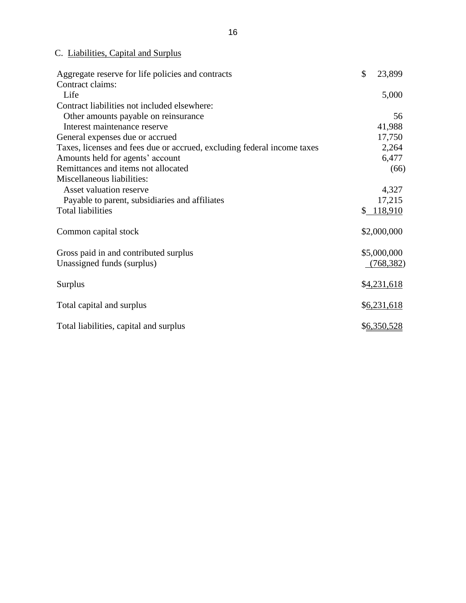## C. Liabilities, Capital and Surplus

| Aggregate reserve for life policies and contracts                       | $\mathcal{S}$ | 23,899      |
|-------------------------------------------------------------------------|---------------|-------------|
| Contract claims:                                                        |               |             |
| Life                                                                    |               | 5,000       |
| Contract liabilities not included elsewhere:                            |               |             |
| Other amounts payable on reinsurance                                    |               | 56          |
| Interest maintenance reserve                                            |               | 41,988      |
| General expenses due or accrued                                         |               | 17,750      |
| Taxes, licenses and fees due or accrued, excluding federal income taxes |               | 2,264       |
| Amounts held for agents' account                                        |               | 6,477       |
| Remittances and items not allocated                                     |               | (66)        |
| Miscellaneous liabilities:                                              |               |             |
| Asset valuation reserve                                                 |               | 4,327       |
| Payable to parent, subsidiaries and affiliates                          |               | 17,215      |
| <b>Total liabilities</b>                                                |               | \$118,910   |
| Common capital stock                                                    |               | \$2,000,000 |
| Gross paid in and contributed surplus                                   |               | \$5,000,000 |
| Unassigned funds (surplus)                                              |               | (768, 382)  |
| Surplus                                                                 |               | \$4,231,618 |
| Total capital and surplus                                               |               | \$6,231,618 |
| Total liabilities, capital and surplus                                  |               | \$6,350,528 |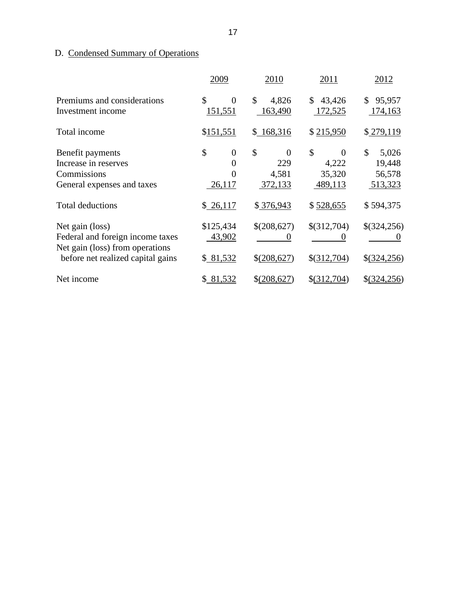## D. Condensed Summary of Operations

|                                                  | 2009                      | 2010                   | 2011                    | 2012                    |
|--------------------------------------------------|---------------------------|------------------------|-------------------------|-------------------------|
| Premiums and considerations<br>Investment income | \$<br>$\theta$<br>151,551 | \$<br>4,826<br>163,490 | 43,426<br>\$<br>172,525 | 95,957<br>\$<br>174,163 |
| Total income                                     | \$151,551                 | \$168,316              | \$215,950               | \$279,119               |
| Benefit payments                                 | \$<br>$\overline{0}$      | \$<br>0                | \$<br>$\theta$          | \$<br>5,026             |
| Increase in reserves                             |                           | 229                    | 4,222                   | 19,448                  |
| Commissions                                      | 0                         | 4,581                  | 35,320                  | 56,578                  |
| General expenses and taxes                       | 26,117                    | 372,133                | 489,113                 | 513,323                 |
| <b>Total deductions</b>                          | \$26,117                  | \$376,943              | \$528,655               | \$594,375               |
| Net gain (loss)                                  | \$125,434                 | \$(208,627)            | \$(312,704)             | \$(324,256)             |
| Federal and foreign income taxes                 | 43,902                    |                        |                         |                         |
| Net gain (loss) from operations                  |                           |                        |                         |                         |
| before net realized capital gains                | \$81,532                  | \$(208,627)            | \$(312,704)             | \$(324,256)             |
| Net income                                       | \$ 81,532                 | \$ (208, 627)          | $$$ (312,704)           | $$$ (324,256)           |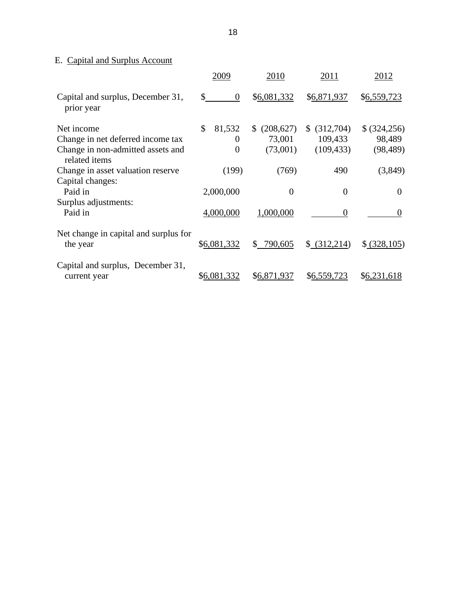## E. Capital and Surplus Account

|                                                    | 2009               | 2010            | 2011            | 2012          |
|----------------------------------------------------|--------------------|-----------------|-----------------|---------------|
| Capital and surplus, December 31,<br>prior year    | \$<br>$\mathbf{0}$ | \$6,081,332     | \$6,871,937     | \$6,559,723   |
| Net income                                         | \$<br>81,532       | \$<br>(208,627) | (312,704)<br>\$ | \$ (324, 256) |
| Change in net deferred income tax                  | $\Omega$           | 73,001          | 109,433         | 98,489        |
| Change in non-admitted assets and<br>related items | $\theta$           | (73,001)        | (109, 433)      | (98, 489)     |
| Change in asset valuation reserve                  | (199)              | (769)           | 490             | (3,849)       |
| Capital changes:                                   |                    |                 |                 |               |
| Paid in                                            | 2,000,000          | $\theta$        | $\theta$        | $\Omega$      |
| Surplus adjustments:                               |                    |                 |                 |               |
| Paid in                                            | 4,000,000          | 1,000,000       | $\Omega$        | $\Omega$      |
| Net change in capital and surplus for<br>the year  | \$6,081,332        | \$<br>790,605   | \$ (312,214)    | \$ (328,105)  |
| Capital and surplus, December 31,<br>current year  | \$6,081,332        | \$6,871,937     | \$6,559,723     | \$6,231,618   |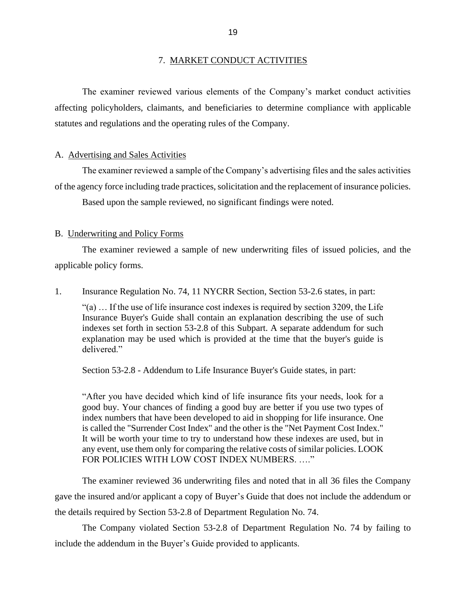#### 7. MARKET CONDUCT ACTIVITIES

The examiner reviewed various elements of the Company's market conduct activities affecting policyholders, claimants, and beneficiaries to determine compliance with applicable statutes and regulations and the operating rules of the Company.

#### A. Advertising and Sales Activities

The examiner reviewed a sample of the Company's advertising files and the sales activities of the agency force including trade practices, solicitation and the replacement of insurance policies. Based upon the sample reviewed, no significant findings were noted.

#### B. Underwriting and Policy Forms

The examiner reviewed a sample of new underwriting files of issued policies, and the applicable policy forms.

1. Insurance Regulation No. 74, 11 NYCRR Section, Section 53-2.6 states, in part:

"(a) … If the use of life insurance cost indexes is required by section 3209, the Life Insurance Buyer's Guide shall contain an explanation describing the use of such indexes set forth in section 53-2.8 of this Subpart. A separate addendum for such explanation may be used which is provided at the time that the buyer's guide is delivered."

Section 53-2.8 - Addendum to Life Insurance Buyer's Guide states, in part:

"After you have decided which kind of life insurance fits your needs, look for a good buy. Your chances of finding a good buy are better if you use two types of index numbers that have been developed to aid in shopping for life insurance. One is called the "Surrender Cost Index" and the other is the "Net Payment Cost Index." It will be worth your time to try to understand how these indexes are used, but in any event, use them only for comparing the relative costs of similar policies. LOOK FOR POLICIES WITH LOW COST INDEX NUMBERS. ...."

The examiner reviewed 36 underwriting files and noted that in all 36 files the Company gave the insured and/or applicant a copy of Buyer's Guide that does not include the addendum or the details required by Section 53-2.8 of Department Regulation No. 74.

The Company violated Section 53-2.8 of Department Regulation No. 74 by failing to include the addendum in the Buyer's Guide provided to applicants.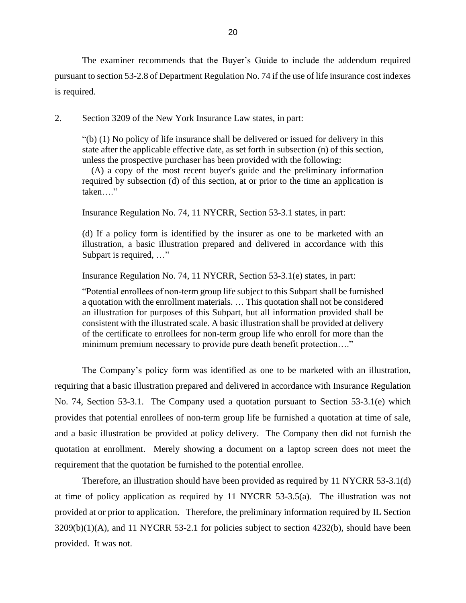The examiner recommends that the Buyer's Guide to include the addendum required pursuant to section 53-2.8 of Department Regulation No. 74 if the use of life insurance cost indexes is required.

2. Section 3209 of the New York Insurance Law states, in part:

"(b) (1) No policy of life insurance shall be delivered or issued for delivery in this state after the applicable effective date, as set forth in subsection (n) of this section, unless the prospective purchaser has been provided with the following:

 (A) a copy of the most recent buyer's guide and the preliminary information required by subsection (d) of this section, at or prior to the time an application is taken…."

Insurance Regulation No. 74, 11 NYCRR, Section 53-3.1 states, in part:

(d) If a policy form is identified by the insurer as one to be marketed with an illustration, a basic illustration prepared and delivered in accordance with this Subpart is required, …"

Insurance Regulation No. 74, 11 NYCRR, Section 53-3.1(e) states, in part:

"Potential enrollees of non-term group life subject to this Subpart shall be furnished a quotation with the enrollment materials. … This quotation shall not be considered an illustration for purposes of this Subpart, but all information provided shall be consistent with the illustrated scale. A basic illustration shall be provided at delivery of the certificate to enrollees for non-term group life who enroll for more than the minimum premium necessary to provide pure death benefit protection…."

The Company's policy form was identified as one to be marketed with an illustration, requiring that a basic illustration prepared and delivered in accordance with Insurance Regulation No. 74, Section 53-3.1. The Company used a quotation pursuant to Section 53-3.1(e) which provides that potential enrollees of non-term group life be furnished a quotation at time of sale, and a basic illustration be provided at policy delivery. The Company then did not furnish the quotation at enrollment. Merely showing a document on a laptop screen does not meet the requirement that the quotation be furnished to the potential enrollee.

Therefore, an illustration should have been provided as required by 11 NYCRR 53-3.1(d) at time of policy application as required by 11 NYCRR 53-3.5(a). The illustration was not provided at or prior to application. Therefore, the preliminary information required by IL Section  $3209(b)(1)(A)$ , and 11 NYCRR 53-2.1 for policies subject to section 4232(b), should have been provided. It was not.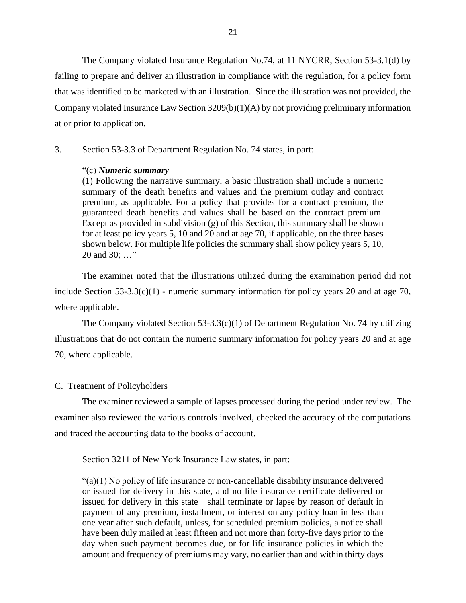The Company violated Insurance Regulation No.74, at 11 NYCRR, Section 53-3.1(d) by failing to prepare and deliver an illustration in compliance with the regulation, for a policy form that was identified to be marketed with an illustration. Since the illustration was not provided, the Company violated Insurance Law Section  $3209(b)(1)(A)$  by not providing preliminary information at or prior to application.

3. Section 53-3.3 of Department Regulation No. 74 states, in part:

#### "(c) *Numeric summary*

(1) Following the narrative summary, a basic illustration shall include a numeric summary of the death benefits and values and the premium outlay and contract premium, as applicable. For a policy that provides for a contract premium, the guaranteed death benefits and values shall be based on the contract premium. Except as provided in subdivision (g) of this Section, this summary shall be shown for at least policy years 5, 10 and 20 and at age 70, if applicable, on the three bases shown below. For multiple life policies the summary shall show policy years 5, 10, 20 and 30; …"

The examiner noted that the illustrations utilized during the examination period did not include Section  $53-3.3(c)(1)$  - numeric summary information for policy years 20 and at age 70, where applicable.

The Company violated Section  $53-3.3(c)(1)$  of Department Regulation No. 74 by utilizing illustrations that do not contain the numeric summary information for policy years 20 and at age 70, where applicable.

#### C. Treatment of Policyholders

The examiner reviewed a sample of lapses processed during the period under review. The examiner also reviewed the various controls involved, checked the accuracy of the computations and traced the accounting data to the books of account.

Section 3211 of New York Insurance Law states, in part:

 $\mathcal{L}(a)(1)$  No policy of life insurance or non-cancellable disability insurance delivered or issued for delivery in this state, and no life insurance certificate delivered or issued for delivery in this state shall terminate or lapse by reason of default in payment of any premium, installment, or interest on any policy loan in less than one year after such default, unless, for scheduled premium policies, a notice shall have been duly mailed at least fifteen and not more than forty-five days prior to the day when such payment becomes due, or for life insurance policies in which the amount and frequency of premiums may vary, no earlier than and within thirty days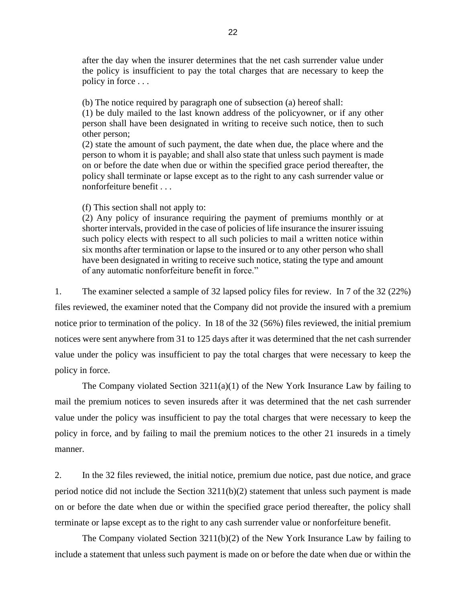after the day when the insurer determines that the net cash surrender value under the policy is insufficient to pay the total charges that are necessary to keep the policy in force . . .

(b) The notice required by paragraph one of subsection (a) hereof shall:

(1) be duly mailed to the last known address of the policyowner, or if any other person shall have been designated in writing to receive such notice, then to such other person;

(2) state the amount of such payment, the date when due, the place where and the person to whom it is payable; and shall also state that unless such payment is made on or before the date when due or within the specified grace period thereafter, the policy shall terminate or lapse except as to the right to any cash surrender value or nonforfeiture benefit . . .

(f) This section shall not apply to:

(2) Any policy of insurance requiring the payment of premiums monthly or at shorter intervals, provided in the case of policies of life insurance the insurer issuing such policy elects with respect to all such policies to mail a written notice within six months after termination or lapse to the insured or to any other person who shall have been designated in writing to receive such notice, stating the type and amount of any automatic nonforfeiture benefit in force."

1. The examiner selected a sample of 32 lapsed policy files for review. In 7 of the 32 (22%) files reviewed, the examiner noted that the Company did not provide the insured with a premium notice prior to termination of the policy. In 18 of the 32 (56%) files reviewed, the initial premium notices were sent anywhere from 31 to 125 days after it was determined that the net cash surrender value under the policy was insufficient to pay the total charges that were necessary to keep the policy in force.

The Company violated Section 3211(a)(1) of the New York Insurance Law by failing to mail the premium notices to seven insureds after it was determined that the net cash surrender value under the policy was insufficient to pay the total charges that were necessary to keep the policy in force, and by failing to mail the premium notices to the other 21 insureds in a timely manner.

2. In the 32 files reviewed, the initial notice, premium due notice, past due notice, and grace period notice did not include the Section 3211(b)(2) statement that unless such payment is made on or before the date when due or within the specified grace period thereafter, the policy shall terminate or lapse except as to the right to any cash surrender value or nonforfeiture benefit.

The Company violated Section  $3211(b)(2)$  of the New York Insurance Law by failing to include a statement that unless such payment is made on or before the date when due or within the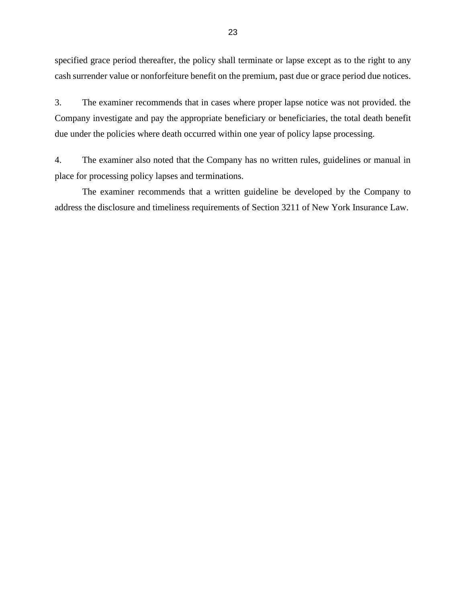specified grace period thereafter, the policy shall terminate or lapse except as to the right to any cash surrender value or nonforfeiture benefit on the premium, past due or grace period due notices.

3. The examiner recommends that in cases where proper lapse notice was not provided. the Company investigate and pay the appropriate beneficiary or beneficiaries, the total death benefit due under the policies where death occurred within one year of policy lapse processing.

4. The examiner also noted that the Company has no written rules, guidelines or manual in place for processing policy lapses and terminations.

The examiner recommends that a written guideline be developed by the Company to address the disclosure and timeliness requirements of Section 3211 of New York Insurance Law.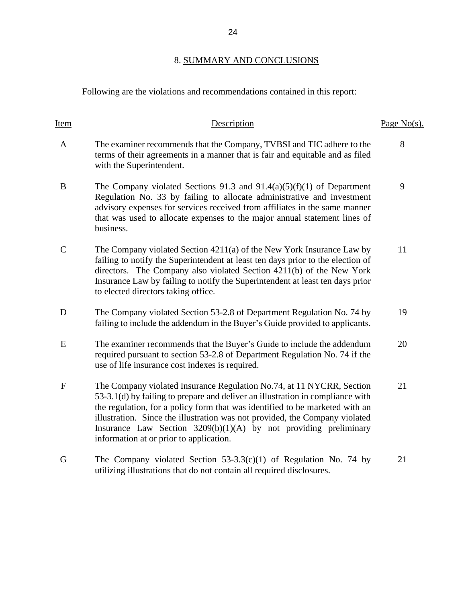## 8. SUMMARY AND CONCLUSIONS

Following are the violations and recommendations contained in this report:

| Item         | Description                                                                                                                                                                                                                                                                                                                                                                                                                             | Page $No(s)$ . |
|--------------|-----------------------------------------------------------------------------------------------------------------------------------------------------------------------------------------------------------------------------------------------------------------------------------------------------------------------------------------------------------------------------------------------------------------------------------------|----------------|
| $\mathbf{A}$ | The examiner recommends that the Company, TVBSI and TIC adhere to the<br>terms of their agreements in a manner that is fair and equitable and as filed<br>with the Superintendent.                                                                                                                                                                                                                                                      | 8              |
| B            | The Company violated Sections 91.3 and $91.4(a)(5)(f)(1)$ of Department<br>Regulation No. 33 by failing to allocate administrative and investment<br>advisory expenses for services received from affiliates in the same manner<br>that was used to allocate expenses to the major annual statement lines of<br>business.                                                                                                               | 9              |
| $\mathbf C$  | The Company violated Section 4211(a) of the New York Insurance Law by<br>failing to notify the Superintendent at least ten days prior to the election of<br>directors. The Company also violated Section 4211(b) of the New York<br>Insurance Law by failing to notify the Superintendent at least ten days prior<br>to elected directors taking office.                                                                                | 11             |
| D            | The Company violated Section 53-2.8 of Department Regulation No. 74 by<br>failing to include the addendum in the Buyer's Guide provided to applicants.                                                                                                                                                                                                                                                                                  | 19             |
| E            | The examiner recommends that the Buyer's Guide to include the addendum<br>required pursuant to section 53-2.8 of Department Regulation No. 74 if the<br>use of life insurance cost indexes is required.                                                                                                                                                                                                                                 | 20             |
| $\mathbf{F}$ | The Company violated Insurance Regulation No.74, at 11 NYCRR, Section<br>53-3.1(d) by failing to prepare and deliver an illustration in compliance with<br>the regulation, for a policy form that was identified to be marketed with an<br>illustration. Since the illustration was not provided, the Company violated<br>Insurance Law Section $3209(b)(1)(A)$ by not providing preliminary<br>information at or prior to application. | 21             |
| G            | The Company violated Section $53-3.3(c)(1)$ of Regulation No. 74 by<br>utilizing illustrations that do not contain all required disclosures.                                                                                                                                                                                                                                                                                            | 21             |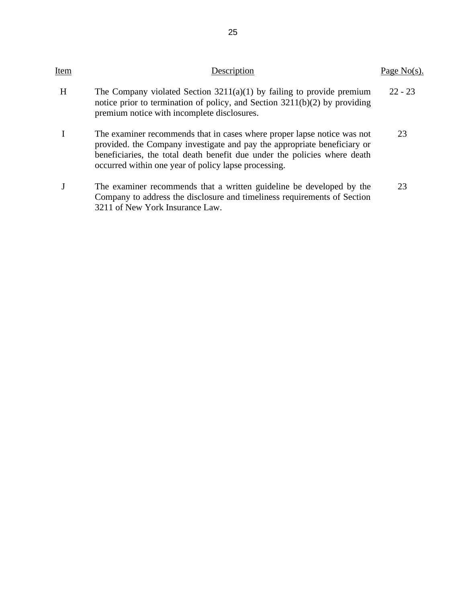| Item | Description                                                                                                                                                                                                                                                                              | Page No(s). |
|------|------------------------------------------------------------------------------------------------------------------------------------------------------------------------------------------------------------------------------------------------------------------------------------------|-------------|
| H    | The Company violated Section $3211(a)(1)$ by failing to provide premium<br>notice prior to termination of policy, and Section $3211(b)(2)$ by providing<br>premium notice with incomplete disclosures.                                                                                   | $22 - 23$   |
|      | The examiner recommends that in cases where proper lapse notice was not<br>provided, the Company investigate and pay the appropriate beneficiary or<br>beneficiaries, the total death benefit due under the policies where death<br>occurred within one year of policy lapse processing. | 23          |
|      | The examiner recommends that a written guideline be developed by the<br>Company to address the disclosure and timeliness requirements of Section<br>3211 of New York Insurance Law.                                                                                                      | 23          |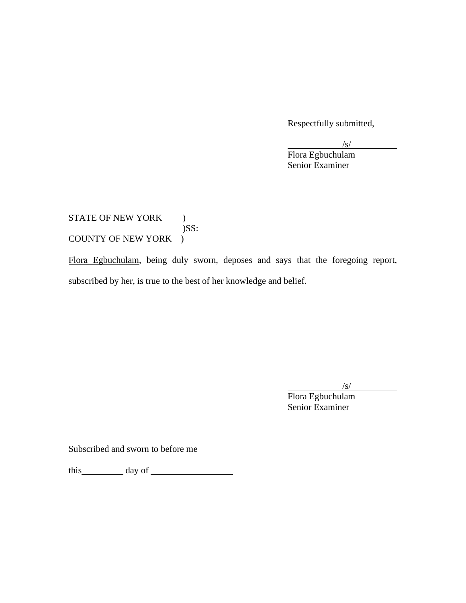Respectfully submitted,

 $\sqrt{s}$ /

Flora Egbuchulam Senior Examiner

STATE OF NEW YORK ) )SS: COUNTY OF NEW YORK )

Flora Egbuchulam, being duly sworn, deposes and says that the foregoing report, subscribed by her, is true to the best of her knowledge and belief.

 $\sqrt{s/}$ 

Flora Egbuchulam Senior Examiner

Subscribed and sworn to before me

this day of